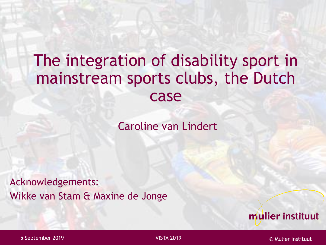#### The integration of disability sport in mainstream sports clubs, the Dutch case

Caroline van Lindert

Acknowledgements: Wikke van Stam & Maxine de Jonge

mulier instituut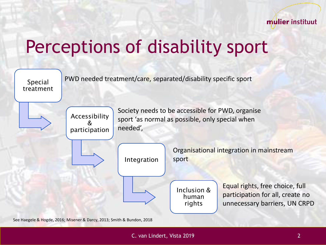

#### Perceptions of disability sport



See Haegele & Hogde, 2016; Misener & Darcy, 2013; Smith & Bundon, 2018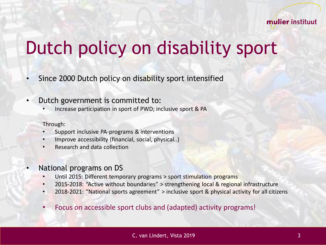

# Dutch policy on disability sport

- Since 2000 Dutch policy on disability sport intensified
- Dutch government is committed to:
	- Increase participation in sport of PWD; inclusive sport & PA

Through:

- Support inclusive PA-programs & interventions
- Improve accessibility (financial, social, physical..)
- Research and data collection
- National programs on DS
	- Until 2015: Different temporary programs > sport stimulation programs
	- 2015-2018: "Active without boundaries" > strengthening local & regional infrastructure
	- 2018-2021: "National sports agreement" > inclusive sport & physical activity for all citizens
	- Focus on accessible sport clubs and (adapted) activity programs!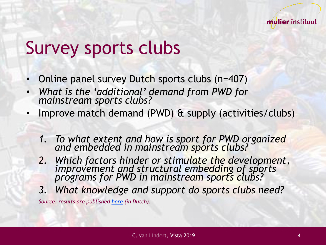#### Survey sports clubs

- Online panel survey Dutch sports clubs (n=407)
- *What is the 'additional' demand from PWD for mainstream sports clubs?*
- Improve match demand (PWD) & supply (activities/clubs)
	- *1. To what extent and how is sport for PWD organized and embedded in mainstream sports clubs?*
	- *2. Which factors hinder or stimulate the development, improvement and structural embedding of sports programs for PWD in mainstream sports clubs?*
	- *3. What knowledge and support do sports clubs need?*

*Source: results are published [here](https://www.mulierinstituut.nl/publicaties/24279/de-organisatie-van-sportaanbod-voor-mensen-met-een-beperking/) (in Dutch).*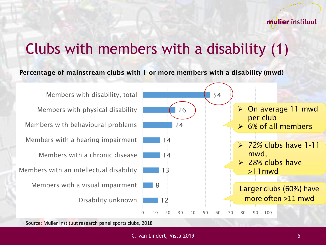#### Clubs with members with a disability (1)

#### Percentage of mainstream clubs with 1 or more members with a disability (mwd)



Source: Mulier Instituut research panel sports clubs, 2018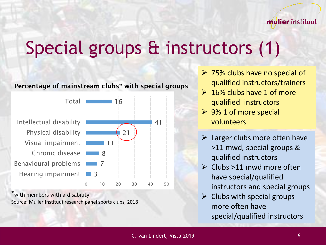# Special groups & instructors (1)



\*with members with a disability Source: Mulier Instituut research panel sports clubs, 2018

- $\triangleright$  75% clubs have no special of qualified instructors/trainers
- $\geq 16\%$  clubs have 1 of more qualified instructors
- $\triangleright$  9% 1 of more special volunteers
- $\triangleright$  Larger clubs more often have >11 mwd, special groups & qualified instructors
- $\triangleright$  Clubs >11 mwd more often have special/qualified instructors and special groups
- $\triangleright$  Clubs with special groups more often have special/qualified instructors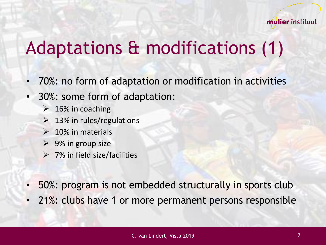### Adaptations & modifications (1)

- 70%: no form of adaptation or modification in activities
- 30%: some form of adaptation:
	- $\geq 16\%$  in coaching
	- $\geq 13\%$  in rules/regulations
	- $\geq 10\%$  in materials
	- $\triangleright$  9% in group size
	- $\triangleright$  7% in field size/facilities
- 50%: program is not embedded structurally in sports club
- 21%: clubs have 1 or more permanent persons responsible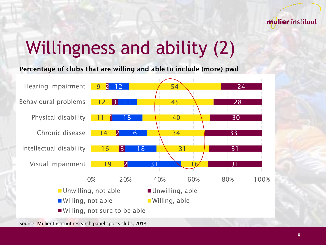

## Willingness and ability (2)

Percentage of clubs that are willing and able to include (more) pwd



Source: Mulier Instituut research panel sports clubs, 2018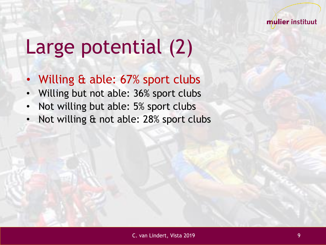

# Large potential (2)

- Willing & able: 67% sport clubs
- Willing but not able: 36% sport clubs
- Not willing but able: 5% sport clubs
- Not willing & not able: 28% sport clubs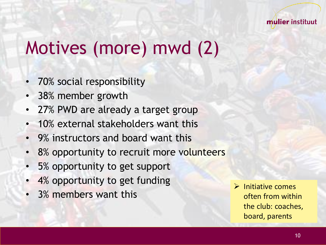

### Motives (more) mwd (2)

- 70% social responsibility
- 38% member growth
- 27% PWD are already a target group
- 10% external stakeholders want this
- 9% instructors and board want this
- 8% opportunity to recruit more volunteers
- 5% opportunity to get support
- 4% opportunity to get funding
- 3% members want this

➢ Initiative comes often from within the club: coaches, board, parents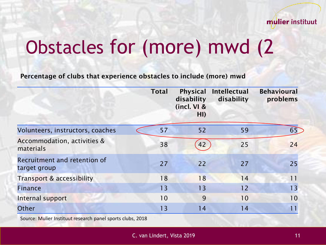

# Obstacles for (more) mwd (2

Percentage of clubs that experience obstacles to include (more) mwd

|                                              | <b>Total</b> | <b>Physical</b><br>disability<br>(incl. VI &<br>H <sub>l</sub> | <b>Intellectual</b><br>disability | <b>Behavioural</b><br>problems |
|----------------------------------------------|--------------|----------------------------------------------------------------|-----------------------------------|--------------------------------|
| Volunteers, instructors, coaches             | 57           | 52                                                             | 59                                | 65                             |
| Accommodation, activities &<br>materials     | 38           | 42                                                             | 25                                | 24                             |
| Recruitment and retention of<br>target group | 27           | 22                                                             | 27                                | 25                             |
| Transport & accessibility                    | 18           | 18                                                             | 14                                | 11                             |
| <b>Finance</b>                               | 13           | 13                                                             | 12                                | 13                             |
| Internal support                             | 10           | 9                                                              | 10                                | 10                             |
| Other                                        | 13           | 14                                                             | 14                                |                                |

Source: Mulier Instituut research panel sports clubs, 2018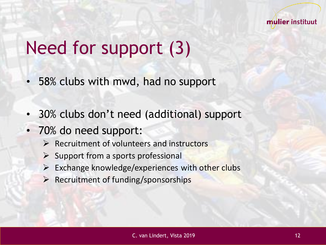

## Need for support (3)

- 58% clubs with mwd, had no support
- 30% clubs don't need (additional) support
- 70% do need support:
	- ➢ Recruitment of volunteers and instructors
	- $\triangleright$  Support from a sports professional
	- $\triangleright$  Exchange knowledge/experiences with other clubs
	- ➢ Recruitment of funding/sponsorships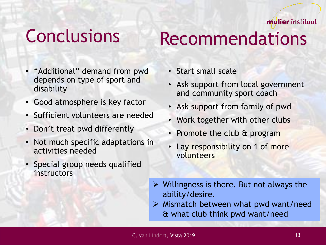#### **Conclusions**

### Recommendations

- "Additional" demand from pwd depends on type of sport and disability
- Good atmosphere is key factor
- Sufficient volunteers are needed
- Don't treat pwd differently
- Not much specific adaptations in activities needed
- Special group needs qualified **instructors**
- Start small scale
- Ask support from local government and community sport coach
- Ask support from family of pwd
- Work together with other clubs
- Promote the club & program
- Lay responsibility on 1 of more volunteers
- $\triangleright$  Willingness is there. But not always the ability/desire.
- $\triangleright$  Mismatch between what pwd want/need & what club think pwd want/need